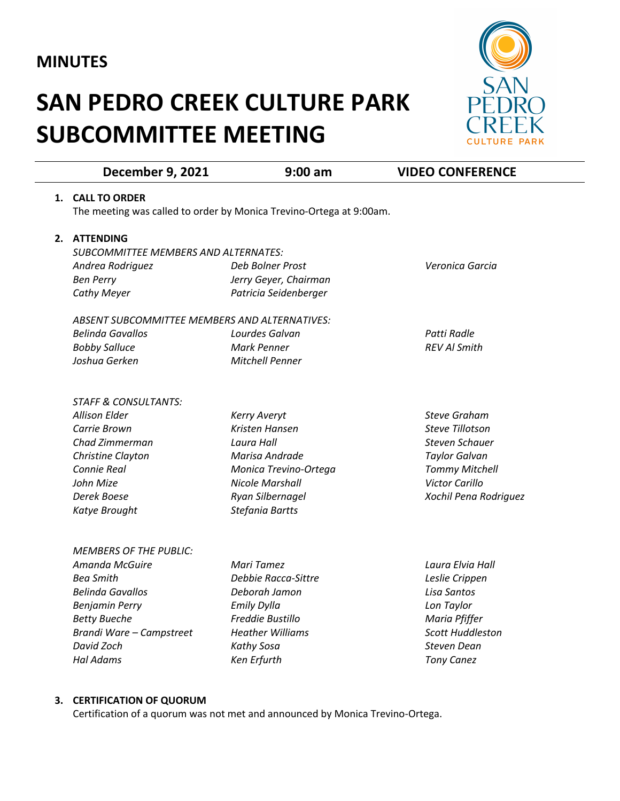# **MINUTES**

# **SAN PEDRO CREEK CULTURE PARK SUBCOMMITTEE MEETING**



|    | <b>December 9, 2021</b>                       | $9:00$ am                                                           | <b>VIDEO CONFERENCE</b>                  |
|----|-----------------------------------------------|---------------------------------------------------------------------|------------------------------------------|
| 1. | <b>CALL TO ORDER</b>                          |                                                                     |                                          |
|    |                                               | The meeting was called to order by Monica Trevino-Ortega at 9:00am. |                                          |
| 2. | <b>ATTENDING</b>                              |                                                                     |                                          |
|    | <b>SUBCOMMITTEE MEMBERS AND ALTERNATES:</b>   |                                                                     |                                          |
|    | Andrea Rodriguez                              | Deb Bolner Prost                                                    | Veronica Garcia                          |
|    | <b>Ben Perry</b>                              | Jerry Geyer, Chairman                                               |                                          |
|    | <b>Cathy Meyer</b>                            | Patricia Seidenberger                                               |                                          |
|    | ABSENT SUBCOMMITTEE MEMBERS AND ALTERNATIVES: |                                                                     |                                          |
|    | <b>Belinda Gavallos</b>                       | Lourdes Galvan                                                      | Patti Radle                              |
|    | <b>Bobby Salluce</b>                          | <b>Mark Penner</b>                                                  | <b>REV AI Smith</b>                      |
|    | Joshua Gerken                                 | Mitchell Penner                                                     |                                          |
|    | <b>STAFF &amp; CONSULTANTS:</b>               |                                                                     |                                          |
|    | <b>Allison Elder</b>                          | <b>Kerry Averyt</b>                                                 | <b>Steve Graham</b>                      |
|    | Carrie Brown                                  | Kristen Hansen                                                      | <b>Steve Tillotson</b>                   |
|    | Chad Zimmerman                                | Laura Hall                                                          | <b>Steven Schauer</b>                    |
|    | Christine Clayton                             | Marisa Andrade                                                      | <b>Taylor Galvan</b>                     |
|    | Connie Real                                   | Monica Trevino-Ortega                                               | <b>Tommy Mitchell</b>                    |
|    | John Mize                                     | <b>Nicole Marshall</b>                                              | <b>Victor Carillo</b>                    |
|    | Derek Boese                                   | Ryan Silbernagel                                                    | Xochil Pena Rodriguez                    |
|    | Katye Brought                                 | Stefania Bartts                                                     |                                          |
|    | <b>MEMBERS OF THE PUBLIC:</b>                 |                                                                     |                                          |
|    | Amanda McGuire                                | Mari Tamez                                                          | Laura Elvia Hall                         |
|    | <b>Bea Smith</b>                              | Debbie Racca-Sittre                                                 | Leslie Crippen                           |
|    | <b>Belinda Gavallos</b>                       | Deborah Jamon                                                       | Lisa Santos                              |
|    |                                               |                                                                     |                                          |
|    | <b>Benjamin Perry</b>                         | Emily Dylla                                                         | Lon Taylor                               |
|    | <b>Betty Bueche</b>                           | Freddie Bustillo<br><b>Heather Williams</b>                         | Maria Pfiffer<br><b>Scott Huddleston</b> |
|    | Brandi Ware - Campstreet                      |                                                                     |                                          |
|    | David Zoch<br><b>Hal Adams</b>                | Kathy Sosa<br>Ken Erfurth                                           | Steven Dean<br><b>Tony Canez</b>         |

### **3. CERTIFICATION OF QUORUM**

Certification of a quorum was not met and announced by Monica Trevino-Ortega.